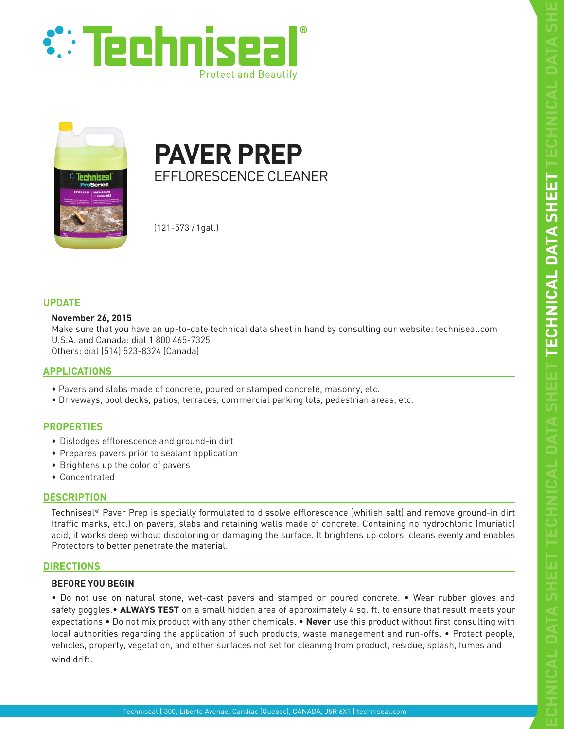



**PAVER PREP**  EFFLORESCENCE CLEANER

(121-573 /1gal.)

# **UPDATE**

## **November 26, 2015**

Make sure that you have an up-to-date technical data sheet in hand by consulting our website: techniseal.com U.S.A. and Canada: dial 1 800 465-7325 Others: dial (514) 523-8324 (Canada)

# **APPLICATIONS**

- Pavers and slabs made of concrete, poured or stamped concrete, masonry, etc.
- Driveways, pool decks, patios, terraces, commercial parking lots, pedestrian areas, etc.

# **PROPERTIES**

- Dislodges efflorescence and ground-in dirt
- Prepares pavers prior to sealant application
- Brightens up the color of pavers
- Concentrated

## **DESCRIPTION**

Techniseal® Paver Prep is specially formulated to dissolve efflorescence (whitish salt) and remove ground-in dirt (traffic marks, etc.) on pavers, slabs and retaining walls made of concrete. Containing no hydrochloric (muriatic) acid, it works deep without discoloring or damaging the surface. It brightens up colors, cleans evenly and enables Protectors to better penetrate the material.

# **DIRECTIONS**

## **BEFORE YOU BEGIN**

• Do not use on natural stone, wet-cast pavers and stamped or poured concrete. • Wear rubber gloves and safety goggles.• **ALWAYS TEST** on a small hidden area of approximately 4 sq. ft. to ensure that result meets your expectations • Do not mix product with any other chemicals. • **Never** use this product without first consulting with local authorities regarding the application of such products, waste management and run-offs. • Protect people, vehicles, property, vegetation, and other surfaces not set for cleaning from product, residue, splash, fumes and wind drift.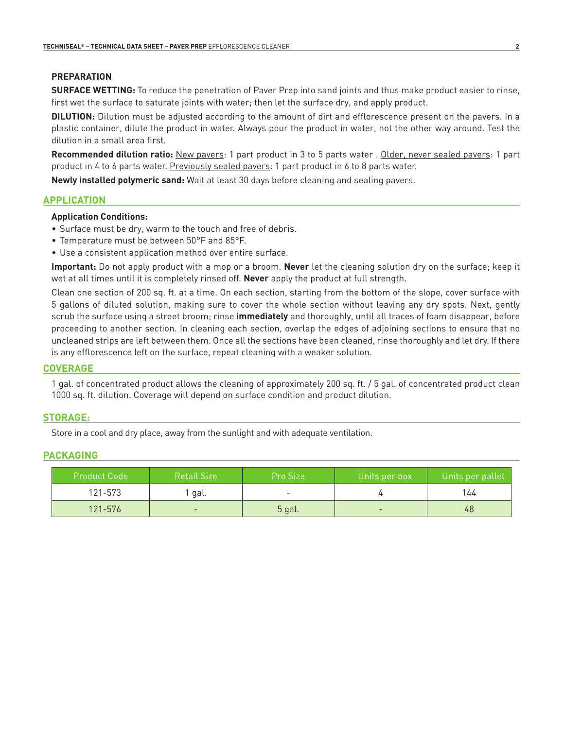# **PREPARATION**

**SURFACE WETTING:** To reduce the penetration of Paver Prep into sand joints and thus make product easier to rinse, first wet the surface to saturate joints with water; then let the surface dry, and apply product.

**DILUTION:** Dilution must be adjusted according to the amount of dirt and efflorescence present on the pavers. In a plastic container, dilute the product in water. Always pour the product in water, not the other way around. Test the dilution in a small area first.

**Recommended dilution ratio:** New pavers: 1 part product in 3 to 5 parts water . Older, never sealed pavers: 1 part product in 4 to 6 parts water. Previously sealed pavers: 1 part product in 6 to 8 parts water.

**Newly installed polymeric sand:** Wait at least 30 days before cleaning and sealing pavers.

## **APPLICATION**

## **Application Conditions:**

- Surface must be dry, warm to the touch and free of debris.
- Temperature must be between 50°F and 85°F.
- Use a consistent application method over entire surface.

**Important:** Do not apply product with a mop or a broom. **Never** let the cleaning solution dry on the surface; keep it wet at all times until it is completely rinsed off. **Never** apply the product at full strength.

Clean one section of 200 sq. ft. at a time. On each section, starting from the bottom of the slope, cover surface with 5 gallons of diluted solution, making sure to cover the whole section without leaving any dry spots. Next, gently scrub the surface using a street broom; rinse **immediately** and thoroughly, until all traces of foam disappear, before proceeding to another section. In cleaning each section, overlap the edges of adjoining sections to ensure that no uncleaned strips are left between them. Once all the sections have been cleaned, rinse thoroughly and let dry. If there is any efflorescence left on the surface, repeat cleaning with a weaker solution.

#### **COVERAGE**

1 gal. of concentrated product allows the cleaning of approximately 200 sq. ft. / 5 gal. of concentrated product clean 1000 sq. ft. dilution. Coverage will depend on surface condition and product dilution.

#### **STORAGE:**

Store in a cool and dry place, away from the sunlight and with adequate ventilation.

#### **PACKAGING**

| <b>Product Code</b> | ' Retail Size            | Pro Size                 | Units per box            | Units per pallet |
|---------------------|--------------------------|--------------------------|--------------------------|------------------|
| 121-573             | `qal.                    | $\overline{\phantom{0}}$ |                          | 144              |
| $121 - 576$         | $\overline{\phantom{a}}$ | 5 gal.                   | $\overline{\phantom{a}}$ | 48               |